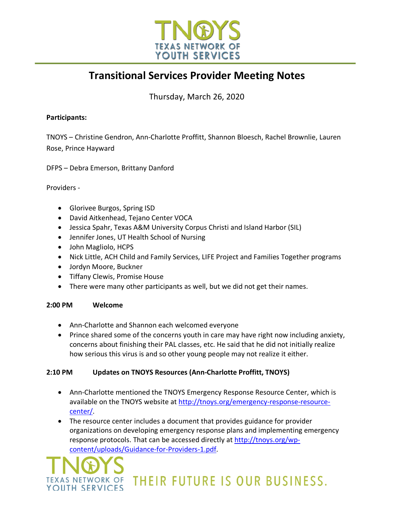

## **Transitional Services Provider Meeting Notes**

Thursday, March 26, 2020

#### **Participants:**

TNOYS – Christine Gendron, Ann-Charlotte Proffitt, Shannon Bloesch, Rachel Brownlie, Lauren Rose, Prince Hayward

DFPS – Debra Emerson, Brittany Danford

#### Providers -

- Glorivee Burgos, Spring ISD
- David Aitkenhead, Tejano Center VOCA
- Jessica Spahr, Texas A&M University Corpus Christi and Island Harbor (SIL)
- Jennifer Jones, UT Health School of Nursing
- John Magliolo, HCPS
- Nick Little, ACH Child and Family Services, LIFE Project and Families Together programs
- Jordyn Moore, Buckner
- Tiffany Clewis, Promise House
- There were many other participants as well, but we did not get their names.

#### **2:00 PM Welcome**

- Ann-Charlotte and Shannon each welcomed everyone
- Prince shared some of the concerns youth in care may have right now including anxiety, concerns about finishing their PAL classes, etc. He said that he did not initially realize how serious this virus is and so other young people may not realize it either.

#### **2:10 PM Updates on TNOYS Resources (Ann-Charlotte Proffitt, TNOYS)**

- Ann-Charlotte mentioned the TNOYS Emergency Response Resource Center, which is available on the TNOYS website at http://tnoys.org/emergency-response-resourcecenter/.
- The resource center includes a document that provides guidance for provider organizations on developing emergency response plans and implementing emergency response protocols. That can be accessed directly at http://tnoys.org/wpcontent/uploads/Guidance-for-Providers-1.pdf.

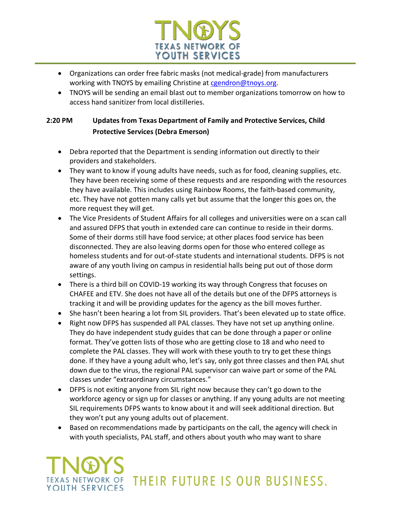

- Organizations can order free fabric masks (not medical-grade) from manufacturers working with TNOYS by emailing Christine at cgendron@tnoys.org.
- TNOYS will be sending an email blast out to member organizations tomorrow on how to access hand sanitizer from local distilleries.

### **2:20 PM Updates from Texas Department of Family and Protective Services, Child Protective Services (Debra Emerson)**

- Debra reported that the Department is sending information out directly to their providers and stakeholders.
- They want to know if young adults have needs, such as for food, cleaning supplies, etc. They have been receiving some of these requests and are responding with the resources they have available. This includes using Rainbow Rooms, the faith-based community, etc. They have not gotten many calls yet but assume that the longer this goes on, the more request they will get.
- The Vice Presidents of Student Affairs for all colleges and universities were on a scan call and assured DFPS that youth in extended care can continue to reside in their dorms. Some of their dorms still have food service; at other places food service has been disconnected. They are also leaving dorms open for those who entered college as homeless students and for out-of-state students and international students. DFPS is not aware of any youth living on campus in residential halls being put out of those dorm settings.
- There is a third bill on COVID-19 working its way through Congress that focuses on CHAFEE and ETV. She does not have all of the details but one of the DFPS attorneys is tracking it and will be providing updates for the agency as the bill moves further.
- She hasn't been hearing a lot from SIL providers. That's been elevated up to state office.
- Right now DFPS has suspended all PAL classes. They have not set up anything online. They do have independent study guides that can be done through a paper or online format. They've gotten lists of those who are getting close to 18 and who need to complete the PAL classes. They will work with these youth to try to get these things done. If they have a young adult who, let's say, only got three classes and then PAL shut down due to the virus, the regional PAL supervisor can waive part or some of the PAL classes under "extraordinary circumstances."
- DFPS is not exiting anyone from SIL right now because they can't go down to the workforce agency or sign up for classes or anything. If any young adults are not meeting SIL requirements DFPS wants to know about it and will seek additional direction. But they won't put any young adults out of placement.
- Based on recommendations made by participants on the call, the agency will check in with youth specialists, PAL staff, and others about youth who may want to share

# TEXAS NETWORK OF THEIR FUTURE IS OUR BUSINESS. YOUTH SERVICES